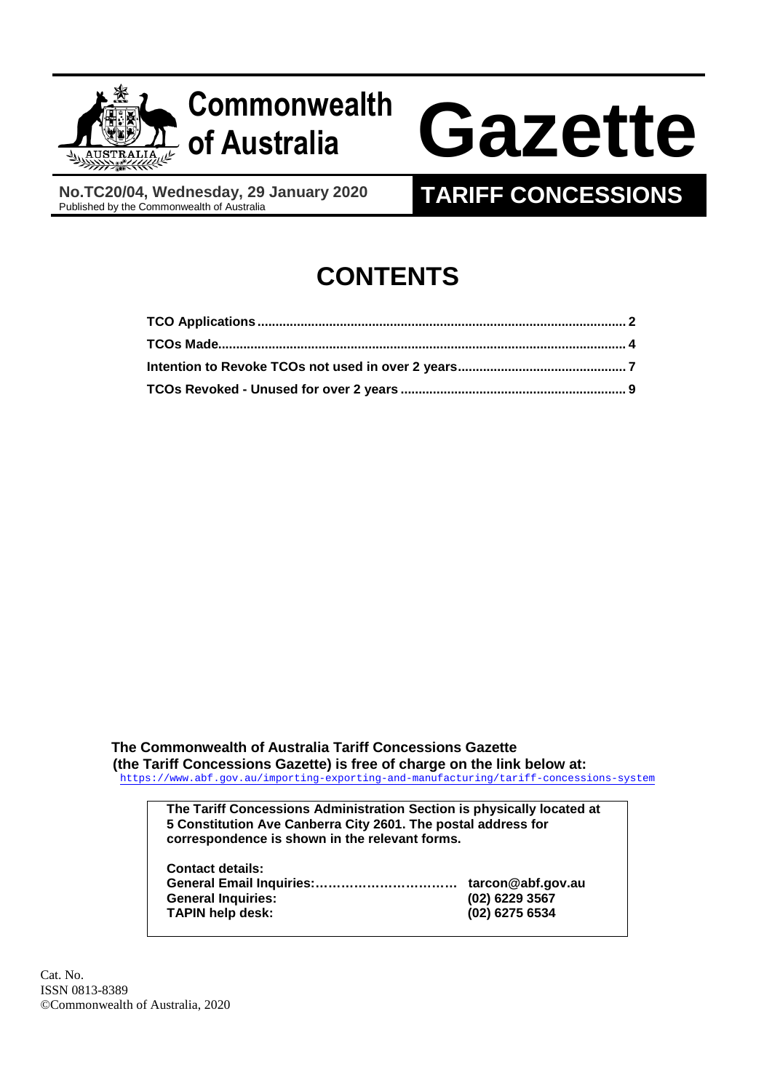

**No.TC20/04, Wednesday, 29 January 2020** 

## **TARIFF CONCESSIONS**

# **CONTENTS**

**The Commonwealth of Australia Tariff Concessions Gazette (the Tariff Concessions Gazette) is free of charge on the link below at:**  <https://www.abf.gov.au/importing-exporting-and-manufacturing/tariff-concessions-system>

**The Tariff Concessions Administration Section is physically located at 5 Constitution Ave Canberra City 2601. The postal address for correspondence is shown in the relevant forms.** 

**Contact details: General Email Inquiries:…………………………… tarcon@abf.gov.au General Inquiries: (02) 6229 3567 TAPIN help desk: (02) 6275 6534** 

Cat. No. ISSN 0813-8389 ©Commonwealth of Australia, 2020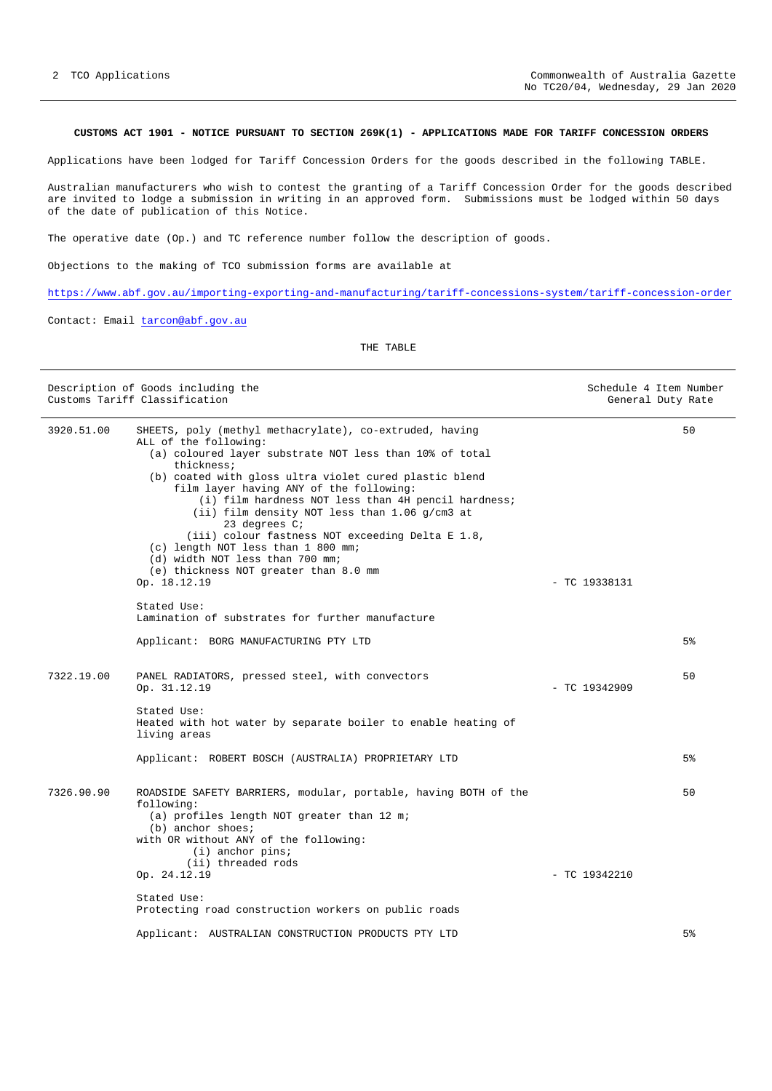#### <span id="page-1-0"></span>**CUSTOMS ACT 1901 - NOTICE PURSUANT TO SECTION 269K(1) - APPLICATIONS MADE FOR TARIFF CONCESSION ORDERS**

Applications have been lodged for Tariff Concession Orders for the goods described in the following TABLE.

Australian manufacturers who wish to contest the granting of a Tariff Concession Order for the goods described are invited to lodge a submission in writing in an approved form. Submissions must be lodged within 50 days of the date of publication of this Notice.

The operative date (Op.) and TC reference number follow the description of goods.

Objections to the making of TCO submission forms are available at

<https://www.abf.gov.au/importing-exporting-and-manufacturing/tariff-concessions-system/tariff-concession-order>

Contact: Email [tarcon@abf.gov.au](mailto:tarcon@abf.gov.au)

THE TABLE

| Description of Goods including the<br>Customs Tariff Classification |                                                                                                                                                                                                                                                                                                                                                                                                                                                                                                                                                                                                 |                 | Schedule 4 Item Number<br>General Duty Rate |
|---------------------------------------------------------------------|-------------------------------------------------------------------------------------------------------------------------------------------------------------------------------------------------------------------------------------------------------------------------------------------------------------------------------------------------------------------------------------------------------------------------------------------------------------------------------------------------------------------------------------------------------------------------------------------------|-----------------|---------------------------------------------|
| 3920.51.00                                                          | SHEETS, poly (methyl methacrylate), co-extruded, having<br>ALL of the following:<br>(a) coloured layer substrate NOT less than 10% of total<br>thickness;<br>(b) coated with gloss ultra violet cured plastic blend<br>film layer having ANY of the following:<br>(i) film hardness NOT less than 4H pencil hardness;<br>(ii) film density NOT less than 1.06 g/cm3 at<br>23 degrees $C_i$<br>(iii) colour fastness NOT exceeding Delta E 1.8,<br>(c) length NOT less than 1 800 mm;<br>(d) width NOT less than 700 mm;<br>(e) thickness NOT greater than 8.0 mm<br>Op. 18.12.19<br>Stated Use: | $-$ TC 19338131 | 50                                          |
|                                                                     | Lamination of substrates for further manufacture                                                                                                                                                                                                                                                                                                                                                                                                                                                                                                                                                |                 |                                             |
|                                                                     | Applicant: BORG MANUFACTURING PTY LTD                                                                                                                                                                                                                                                                                                                                                                                                                                                                                                                                                           |                 | 5%                                          |
| 7322.19.00                                                          | PANEL RADIATORS, pressed steel, with convectors<br>Op. 31.12.19                                                                                                                                                                                                                                                                                                                                                                                                                                                                                                                                 | $-$ TC 19342909 | 50                                          |
|                                                                     | Stated Use:<br>Heated with hot water by separate boiler to enable heating of<br>living areas                                                                                                                                                                                                                                                                                                                                                                                                                                                                                                    |                 |                                             |
|                                                                     | Applicant: ROBERT BOSCH (AUSTRALIA) PROPRIETARY LTD                                                                                                                                                                                                                                                                                                                                                                                                                                                                                                                                             |                 | 5%                                          |
| 7326.90.90                                                          | ROADSIDE SAFETY BARRIERS, modular, portable, having BOTH of the<br>following:<br>(a) profiles length NOT greater than 12 m;<br>$(b)$ anchor shoes;<br>with OR without ANY of the following:<br>$(i)$ anchor pins;<br>(ii) threaded rods                                                                                                                                                                                                                                                                                                                                                         |                 | 50                                          |
|                                                                     | Op. 24.12.19                                                                                                                                                                                                                                                                                                                                                                                                                                                                                                                                                                                    | $-$ TC 19342210 |                                             |
|                                                                     | Stated Use:<br>Protecting road construction workers on public roads                                                                                                                                                                                                                                                                                                                                                                                                                                                                                                                             |                 |                                             |
|                                                                     | Applicant: AUSTRALIAN CONSTRUCTION PRODUCTS PTY LTD                                                                                                                                                                                                                                                                                                                                                                                                                                                                                                                                             |                 | 5 <sup>8</sup>                              |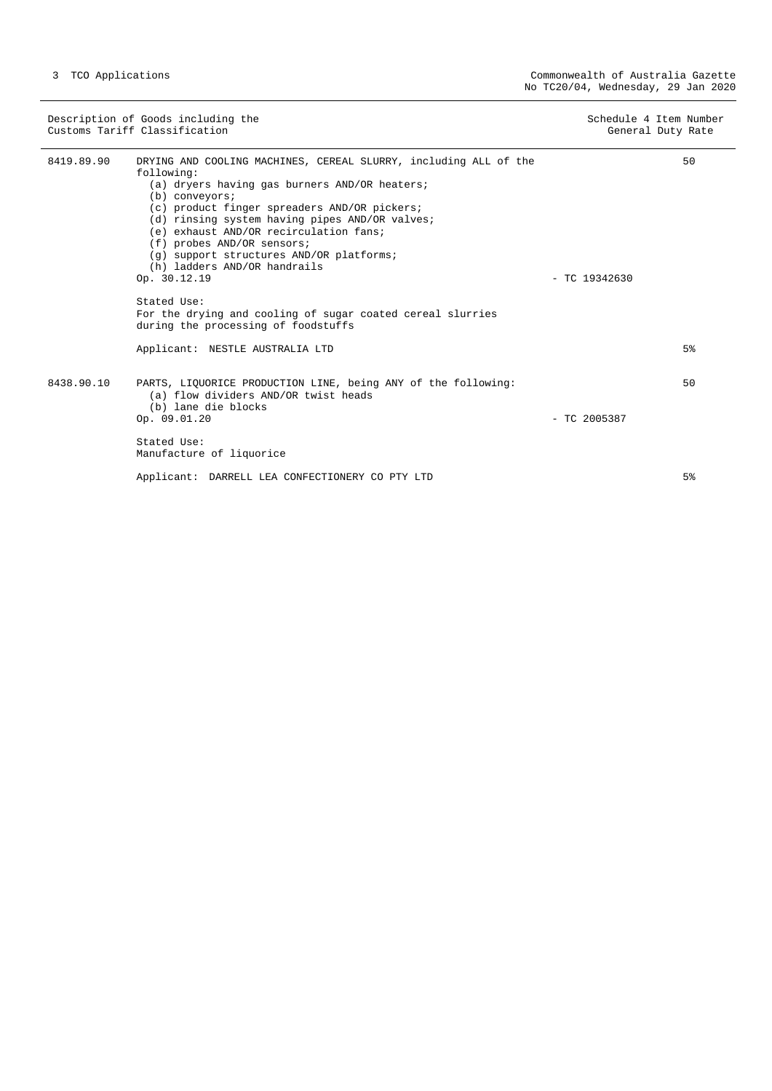Description of Goods including the Schedule 4 Item Number<br>
Customs Tariff Classification (Senetal Duty Rate) Customs Tariff Classification

8419.89.90 DRYING AND COOLING MACHINES, CEREAL SLURRY, including ALL of the following: (a) dryers having gas burners AND/OR heaters; (b) conveyors; (c) product finger spreaders AND/OR pickers; (d) rinsing system having pipes AND/OR valves; (e) exhaust AND/OR recirculation fans; (f) probes AND/OR sensors; (g) support structures AND/OR platforms; (h) ladders AND/OR handrails Op. 30.12.19 - TC 19342630 Stated Use: For the drying and cooling of sugar coated cereal slurries during the processing of foodstuffs Applicant: NESTLE AUSTRALIA LTD 50 5% 8438.90.10 PARTS, LIQUORICE PRODUCTION LINE, being ANY of the following: (a) flow dividers AND/OR twist heads (b) lane die blocks<br>Op. 09.01.20  $-$  TC 2005387 Stated Use: Manufacture of liquorice Applicant: DARRELL LEA CONFECTIONERY CO PTY LTD 50 5%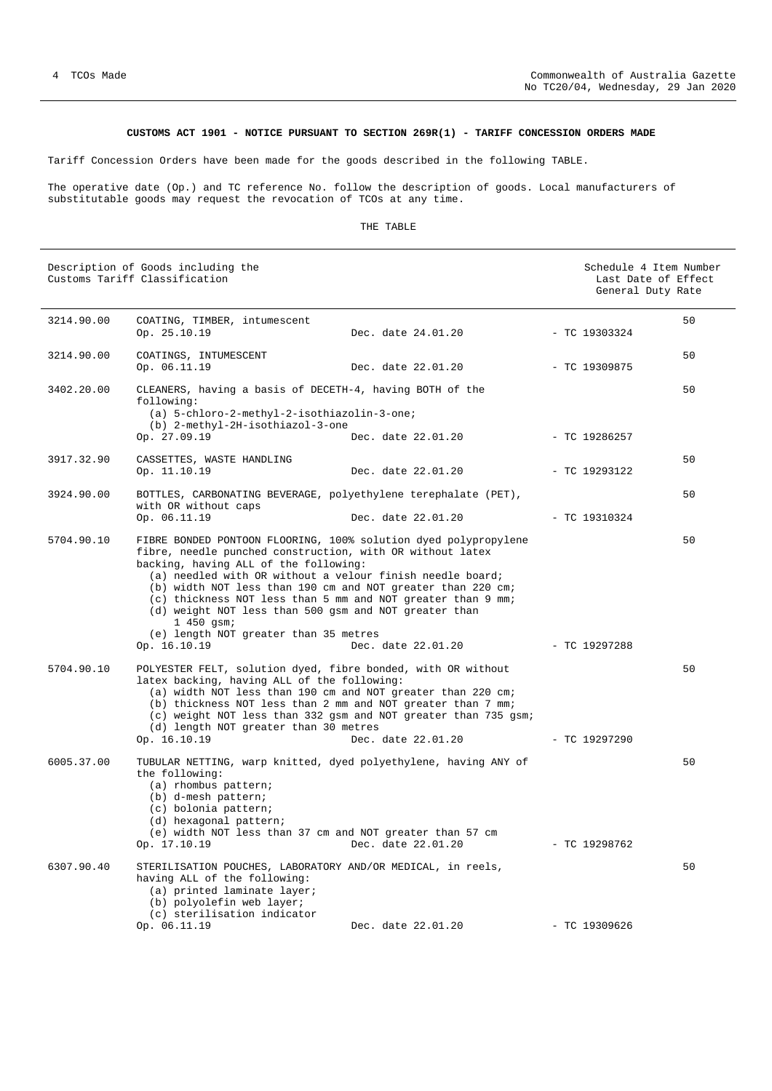### **CUSTOMS ACT 1901 - NOTICE PURSUANT TO SECTION 269R(1) - TARIFF CONCESSION ORDERS MADE**

<span id="page-3-0"></span>Tariff Concession Orders have been made for the goods described in the following TABLE.

The operative date (Op.) and TC reference No. follow the description of goods. Local manufacturers of substitutable goods may request the revocation of TCOs at any time.

#### THE TABLE

| Description of Goods including the<br>Customs Tariff Classification |                                                                                                                                                                                                                                                                                                                                                                                                                                                                                                  |                                                                                      | Schedule 4 Item Number<br>Last Date of Effect<br>General Duty Rate |                       |  |
|---------------------------------------------------------------------|--------------------------------------------------------------------------------------------------------------------------------------------------------------------------------------------------------------------------------------------------------------------------------------------------------------------------------------------------------------------------------------------------------------------------------------------------------------------------------------------------|--------------------------------------------------------------------------------------|--------------------------------------------------------------------|-----------------------|--|
| 3214.90.00                                                          | COATING, TIMBER, intumescent<br>Op. 25.10.19                                                                                                                                                                                                                                                                                                                                                                                                                                                     | Dec. date 24.01.20                                                                   |                                                                    | 50<br>$-$ TC 19303324 |  |
| 3214.90.00                                                          | COATINGS, INTUMESCENT<br>Op. 06.11.19                                                                                                                                                                                                                                                                                                                                                                                                                                                            | Dec. date 22.01.20                                                                   |                                                                    | 50<br>$-$ TC 19309875 |  |
| 3402.20.00                                                          | CLEANERS, having a basis of DECETH-4, having BOTH of the<br>following:<br>(a) 5-chloro-2-methyl-2-isothiazolin-3-one;<br>(b) 2-methyl-2H-isothiazol-3-one                                                                                                                                                                                                                                                                                                                                        |                                                                                      |                                                                    | 50                    |  |
|                                                                     | Op. 27.09.19                                                                                                                                                                                                                                                                                                                                                                                                                                                                                     | Dec. date 22.01.20                                                                   |                                                                    | - TC 19286257         |  |
| 3917.32.90                                                          | CASSETTES, WASTE HANDLING<br>Op. 11.10.19                                                                                                                                                                                                                                                                                                                                                                                                                                                        | Dec. date 22.01.20                                                                   |                                                                    | 50<br>$-$ TC 19293122 |  |
| 3924.90.00                                                          | BOTTLES, CARBONATING BEVERAGE, polyethylene terephalate (PET),<br>with OR without caps                                                                                                                                                                                                                                                                                                                                                                                                           |                                                                                      |                                                                    | 50                    |  |
|                                                                     | Op. 06.11.19                                                                                                                                                                                                                                                                                                                                                                                                                                                                                     | Dec. date 22.01.20                                                                   |                                                                    | $-$ TC 19310324       |  |
| 5704.90.10                                                          | FIBRE BONDED PONTOON FLOORING, 100% solution dyed polypropylene<br>fibre, needle punched construction, with OR without latex<br>backing, having ALL of the following:<br>(a) needled with OR without a velour finish needle board;<br>(b) width NOT less than 190 cm and NOT greater than 220 cm;<br>(c) thickness NOT less than 5 mm and NOT greater than 9 mm;<br>(d) weight NOT less than 500 gsm and NOT greater than<br>1 450 gsm;<br>(e) length NOT greater than 35 metres<br>Op. 16.10.19 | Dec. date 22.01.20                                                                   |                                                                    | 50<br>$-$ TC 19297288 |  |
| 5704.90.10                                                          | POLYESTER FELT, solution dyed, fibre bonded, with OR without<br>latex backing, having ALL of the following:<br>(a) width NOT less than 190 cm and NOT greater than 220 cm;<br>(b) thickness NOT less than 2 mm and NOT greater than 7 mm;<br>(d) length NOT greater than 30 metres<br>Op. 16.10.19                                                                                                                                                                                               | (c) weight NOT less than 332 gsm and NOT greater than 735 gsm;<br>Dec. date 22.01.20 |                                                                    | 50<br>$-$ TC 19297290 |  |
| 6005.37.00                                                          | TUBULAR NETTING, warp knitted, dyed polyethylene, having ANY of<br>the following:<br>(a) rhombus pattern;<br>(b) d-mesh pattern;<br>(c) bolonia pattern;<br>(d) hexagonal pattern;<br>(e) width NOT less than 37 cm and NOT greater than 57 cm<br>Op. 17.10.19                                                                                                                                                                                                                                   | Dec. date 22.01.20                                                                   |                                                                    | 50<br>$-$ TC 19298762 |  |
| 6307.90.40                                                          | STERILISATION POUCHES, LABORATORY AND/OR MEDICAL, in reels,<br>having ALL of the following:<br>(a) printed laminate layer;<br>(b) polyolefin web layer;<br>(c) sterilisation indicator<br>Op. 06.11.19                                                                                                                                                                                                                                                                                           | Dec. date 22.01.20                                                                   |                                                                    | 50<br>$-TC$ 19309626  |  |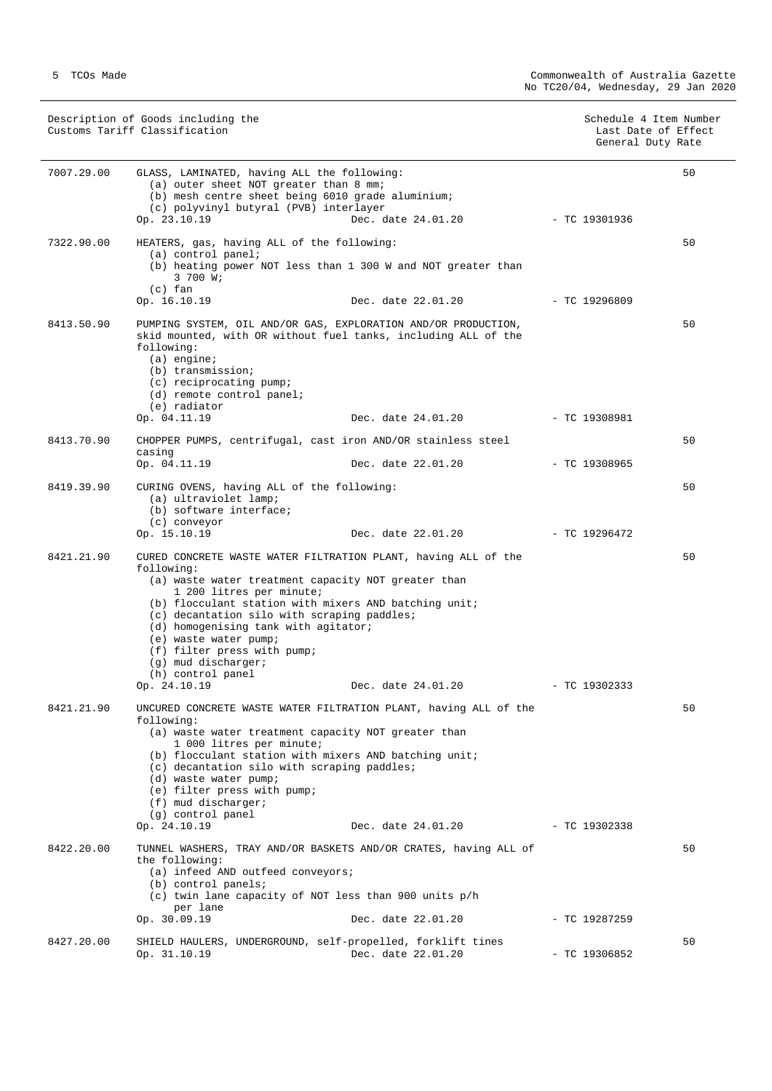Description of Goods including the Schedule 4 Item Number (Schedule 4 Item Number (Schedule 4 Item Number (Schedule 4 Item Number (Schedule 4 Item Number (Schedule 4 Item Number (Schedule 4 Item Number (Schedule 4 Item Num Customs Tariff Classification Last Date of Effect General Duty Rate

| 7007.29.00 | GLASS, LAMINATED, having ALL the following:<br>(a) outer sheet NOT greater than 8 mm;<br>(b) mesh centre sheet being 6010 grade aluminium;<br>(c) polyvinyl butyral (PVB) interlayer<br>Op. 23.10.19                                                                                                                                                                                                                                  | Dec. date 24.01.20 | - TC 19301936   | 50 |
|------------|---------------------------------------------------------------------------------------------------------------------------------------------------------------------------------------------------------------------------------------------------------------------------------------------------------------------------------------------------------------------------------------------------------------------------------------|--------------------|-----------------|----|
| 7322.90.00 | HEATERS, gas, having ALL of the following:<br>$(a)$ control panel;<br>(b) heating power NOT less than 1 300 W and NOT greater than<br>3 700 W;<br>$(c)$ fan<br>Op. 16.10.19                                                                                                                                                                                                                                                           | Dec. date 22.01.20 | $-$ TC 19296809 | 50 |
| 8413.50.90 | PUMPING SYSTEM, OIL AND/OR GAS, EXPLORATION AND/OR PRODUCTION,<br>skid mounted, with OR without fuel tanks, including ALL of the<br>following:<br>$(a)$ engine;<br>(b) transmission;<br>(c) reciprocating pump;<br>(d) remote control panel;<br>(e) radiator<br>Op. 04.11.19                                                                                                                                                          | Dec. date 24.01.20 | $-$ TC 19308981 | 50 |
| 8413.70.90 | CHOPPER PUMPS, centrifugal, cast iron AND/OR stainless steel<br>casing<br>Op. 04.11.19                                                                                                                                                                                                                                                                                                                                                | Dec. date 22.01.20 | $-$ TC 19308965 | 50 |
| 8419.39.90 | CURING OVENS, having ALL of the following:<br>(a) ultraviolet lamp;<br>(b) software interface;<br>(c) conveyor<br>Op. 15.10.19                                                                                                                                                                                                                                                                                                        | Dec. date 22.01.20 | $-$ TC 19296472 | 50 |
| 8421.21.90 | CURED CONCRETE WASTE WATER FILTRATION PLANT, having ALL of the<br>following:<br>(a) waste water treatment capacity NOT greater than<br>1 200 litres per minute;<br>(b) flocculant station with mixers AND batching unit;<br>(c) decantation silo with scraping paddles;<br>(d) homogenising tank with agitator;<br>(e) waste water pump;<br>(f) filter press with pump;<br>$(q)$ mud discharger;<br>(h) control panel<br>Op. 24.10.19 | Dec. date 24.01.20 | - TC 19302333   | 50 |
| 8421.21.90 | UNCURED CONCRETE WASTE WATER FILTRATION PLANT, having ALL of the<br>following:<br>(a) waste water treatment capacity NOT greater than<br>1 000 litres per minute;<br>(b) flocculant station with mixers AND batching unit;<br>(c) decantation silo with scraping paddles;<br>(d) waste water pump;<br>(e) filter press with pump;<br>$(f)$ mud discharger;<br>(g) control panel<br>Op. 24.10.19                                       | Dec. date 24.01.20 | $-$ TC 19302338 | 50 |
| 8422.20.00 | TUNNEL WASHERS, TRAY AND/OR BASKETS AND/OR CRATES, having ALL of<br>the following:<br>(a) infeed AND outfeed conveyors;<br>$(b)$ control panels;<br>(c) twin lane capacity of NOT less than 900 units p/h<br>per lane<br>Op. 30.09.19                                                                                                                                                                                                 | Dec. date 22.01.20 | $-$ TC 19287259 | 50 |
| 8427.20.00 | SHIELD HAULERS, UNDERGROUND, self-propelled, forklift tines<br>Op. 31.10.19                                                                                                                                                                                                                                                                                                                                                           | Dec. date 22.01.20 | $-$ TC 19306852 | 50 |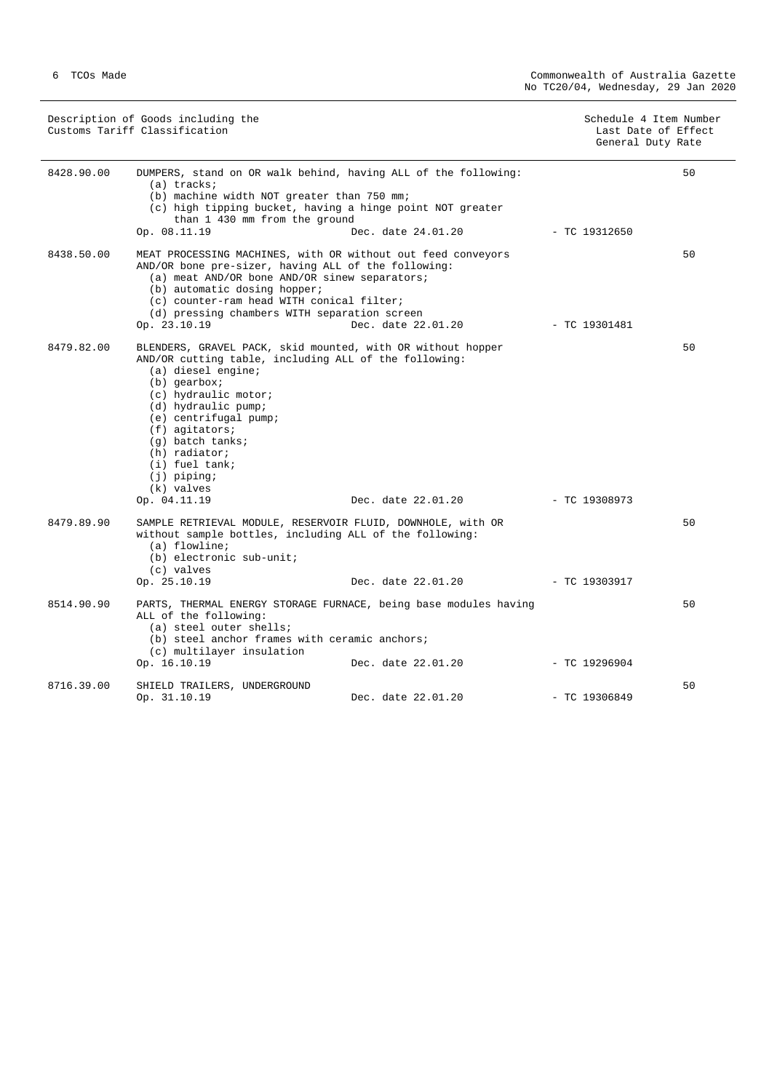| Description of Goods including the<br>Customs Tariff Classification |                                                                                                                                                                                                                                                                                       |                                                                                                                                                   | Schedule 4 Item Number<br>Last Date of Effect<br>General Duty Rate |    |
|---------------------------------------------------------------------|---------------------------------------------------------------------------------------------------------------------------------------------------------------------------------------------------------------------------------------------------------------------------------------|---------------------------------------------------------------------------------------------------------------------------------------------------|--------------------------------------------------------------------|----|
| 8428.90.00                                                          | $(a)$ tracks;<br>(b) machine width NOT greater than 750 mm;<br>than 1 430 mm from the ground<br>Op. 08.11.19                                                                                                                                                                          | DUMPERS, stand on OR walk behind, having ALL of the following:<br>(c) high tipping bucket, having a hinge point NOT greater<br>Dec. date 24.01.20 | $-$ TC 19312650                                                    | 50 |
| 8438.50.00                                                          | AND/OR bone pre-sizer, having ALL of the following:<br>(a) meat AND/OR bone AND/OR sinew separators;<br>(b) automatic dosing hopper;<br>(c) counter-ram head WITH conical filter;<br>(d) pressing chambers WITH separation screen<br>Op. 23.10.19                                     | MEAT PROCESSING MACHINES, with OR without out feed conveyors<br>Dec. date 22.01.20                                                                | - TC 19301481                                                      | 50 |
| 8479.82.00                                                          | AND/OR cutting table, including ALL of the following:<br>(a) diesel engine;<br>$(b)$ qearbox;<br>(c) hydraulic motor;<br>(d) hydraulic pump;<br>(e) centrifugal pump;<br>$(f)$ agitators;<br>$(q)$ batch tanks;<br>$(h)$ radiator;<br>$(i)$ fuel tank;<br>$(j)$ piping;<br>(k) valves | BLENDERS, GRAVEL PACK, skid mounted, with OR without hopper                                                                                       |                                                                    | 50 |
| 8479.89.90                                                          | Op. 04.11.19<br>without sample bottles, including ALL of the following:<br>$(a)$ flowline;<br>(b) electronic sub-unit;<br>(c) valves<br>Op. 25.10.19                                                                                                                                  | Dec. date 22.01.20<br>SAMPLE RETRIEVAL MODULE, RESERVOIR FLUID, DOWNHOLE, with OR<br>Dec. date 22.01.20                                           | $-$ TC 19308973<br>- TC 19303917                                   | 50 |
| 8514.90.90                                                          | ALL of the following:<br>(a) steel outer shells;<br>(b) steel anchor frames with ceramic anchors;<br>(c) multilayer insulation<br>Op. 16.10.19                                                                                                                                        | PARTS, THERMAL ENERGY STORAGE FURNACE, being base modules having<br>Dec. date 22.01.20                                                            | $-$ TC 19296904                                                    | 50 |
| 8716.39.00                                                          | SHIELD TRAILERS, UNDERGROUND<br>Op. 31.10.19                                                                                                                                                                                                                                          | Dec. date 22.01.20                                                                                                                                | $-$ TC 19306849                                                    | 50 |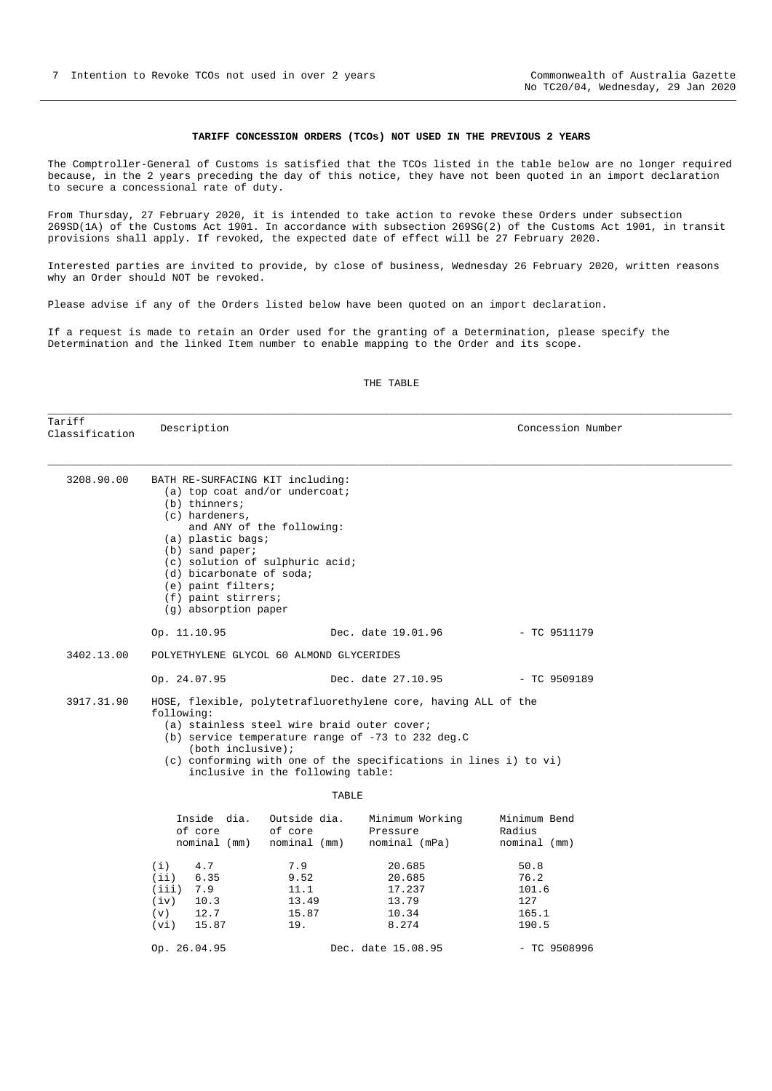#### **TARIFF CONCESSION ORDERS (TCOs) NOT USED IN THE PREVIOUS 2 YEARS**

<span id="page-6-0"></span>The Comptroller-General of Customs is satisfied that the TCOs listed in the table below are no longer required because, in the 2 years preceding the day of this notice, they have not been quoted in an import declaration to secure a concessional rate of duty.

From Thursday, 27 February 2020, it is intended to take action to revoke these Orders under subsection 269SD(1A) of the Customs Act 1901. In accordance with subsection 269SG(2) of the Customs Act 1901, in transit provisions shall apply. If revoked, the expected date of effect will be 27 February 2020.

Interested parties are invited to provide, by close of business, Wednesday 26 February 2020, written reasons why an Order should NOT be revoked.

Please advise if any of the Orders listed below have been quoted on an import declaration.

If a request is made to retain an Order used for the granting of a Determination, please specify the Determination and the linked Item number to enable mapping to the Order and its scope.

#### THE TABLE

\_\_\_\_\_\_\_\_\_\_\_\_\_\_\_\_\_\_\_\_\_\_\_\_\_\_\_\_\_\_\_\_\_\_\_\_\_\_\_\_\_\_\_\_\_\_\_\_\_\_\_\_\_\_\_\_\_\_\_\_\_\_\_\_\_\_\_\_\_\_\_\_\_\_\_\_\_\_\_\_\_\_\_\_\_\_\_\_\_\_\_\_\_\_\_\_\_\_\_\_\_\_\_\_\_\_\_\_\_\_

Tariff ndiil<br>Classification Description **Description** Concession Number \_\_\_\_\_\_\_\_\_\_\_\_\_\_\_\_\_\_\_\_\_\_\_\_\_\_\_\_\_\_\_\_\_\_\_\_\_\_\_\_\_\_\_\_\_\_\_\_\_\_\_\_\_\_\_\_\_\_\_\_\_\_\_\_\_\_\_\_\_\_\_\_\_\_\_\_\_\_\_\_\_\_\_\_\_\_\_\_\_\_\_\_\_\_\_\_\_\_\_\_\_\_\_\_\_\_\_\_\_\_ 3208.90.00 BATH RE-SURFACING KIT including: (a) top coat and/or undercoat; (b) thinners; (c) hardeners, and ANY of the following: (a) plastic bags; (b) sand paper; (c) solution of sulphuric acid; (d) bicarbonate of soda; (e) paint filters; (f) paint stirrers; (g) absorption paper Op. 11.10.95 Dec. date 19.01.96 - TC 9511179 3402.13.00 POLYETHYLENE GLYCOL 60 ALMOND GLYCERIDES Op. 24.07.95 Dec. date 27.10.95 - TC 9509189 3917.31.90 HOSE, flexible, polytetrafluorethylene core, having ALL of the following: (a) stainless steel wire braid outer cover; (b) service temperature range of -73 to 232 deg.C (both inclusive); (c) conforming with one of the specifications in lines i) to vi) inclusive in the following table: **TABLE**  Inside dia. Outside dia. Minimum Working Minimum Bend of core of core Pressure Radius<br>nominal (mm) nominal (mm) nominal (mPa) nominal (mm) nominal (mm) (i) 4.7 7.9 20.685 50.8 (ii) 6.35 9.52 20.685 76.2 (iii) 7.9 11.1 17.237 101.6<br>(iv) 10.3 13.49 13.79 127 (iv) 10.3 13.49 13.79 127 (v) 12.7 15.87 10.34 165.1 (vi) 15.87 19. 8.274 190.5 Op. 26.04.95 Dec. date 15.08.95 - TC 9508996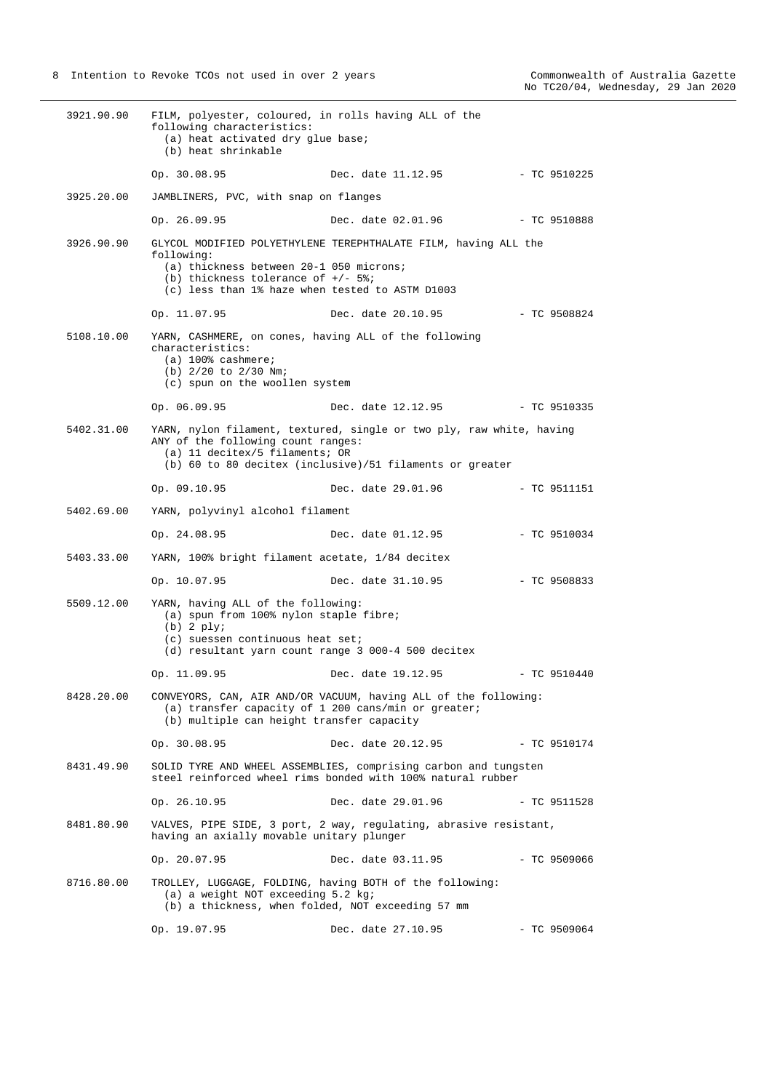| 3921.90.90 | FILM, polyester, coloured, in rolls having ALL of the<br>following characteristics:<br>(a) heat activated dry glue base;<br>(b) heat shrinkable                 |                                                                                                                                  |                |
|------------|-----------------------------------------------------------------------------------------------------------------------------------------------------------------|----------------------------------------------------------------------------------------------------------------------------------|----------------|
|            | Op. 30.08.95                                                                                                                                                    | Dec. date 11.12.95                                                                                                               | - TC 9510225   |
| 3925.20.00 | JAMBLINERS, PVC, with snap on flanges                                                                                                                           |                                                                                                                                  |                |
|            | Op. 26.09.95                                                                                                                                                    | Dec. date 02.01.96                                                                                                               | $-$ TC 9510888 |
| 3926.90.90 | following:<br>(a) thickness between 20-1 050 microns;<br>(b) thickness tolerance of $+/-$ 5%;<br>(c) less than 1% haze when tested to ASTM D1003                | GLYCOL MODIFIED POLYETHYLENE TEREPHTHALATE FILM, having ALL the                                                                  |                |
|            | Op. 11.07.95                                                                                                                                                    | Dec. date 20.10.95                                                                                                               | - TC 9508824   |
| 5108.10.00 | YARN, CASHMERE, on cones, having ALL of the following<br>characteristics:<br>$(a)$ 100% cashmere;<br>(b) $2/20$ to $2/30$ Nm;<br>(c) spun on the woollen system |                                                                                                                                  |                |
|            | Op. 06.09.95                                                                                                                                                    | Dec. date 12.12.95 - TC 9510335                                                                                                  |                |
| 5402.31.00 | ANY of the following count ranges:<br>(a) 11 decitex/5 filaments; OR                                                                                            | YARN, nylon filament, textured, single or two ply, raw white, having<br>(b) 60 to 80 decitex (inclusive)/51 filaments or greater |                |
|            | Op. 09.10.95                                                                                                                                                    | Dec. date 29.01.96                                                                                                               | - TC 9511151   |
| 5402.69.00 | YARN, polyvinyl alcohol filament                                                                                                                                |                                                                                                                                  |                |
|            | Op. 24.08.95                                                                                                                                                    | Dec. date 01.12.95                                                                                                               | $-$ TC 9510034 |
| 5403.33.00 | YARN, 100% bright filament acetate, 1/84 decitex                                                                                                                |                                                                                                                                  |                |
|            | Op. 10.07.95                                                                                                                                                    | Dec. date 31.10.95                                                                                                               | - TC 9508833   |
| 5509.12.00 | YARN, having ALL of the following:<br>(a) spun from 100% nylon staple fibre;<br>$(b)$ 2 $plyi$<br>$(c)$ suessen continuous heat set;                            | (d) resultant yarn count range 3 000-4 500 decitex                                                                               |                |
|            | Op. 11.09.95                                                                                                                                                    | Dec. date 19.12.95                                                                                                               | $-$ TC 9510440 |
| 8428.20.00 | (b) multiple can height transfer capacity                                                                                                                       | CONVEYORS, CAN, AIR AND/OR VACUUM, having ALL of the following:<br>(a) transfer capacity of 1 200 cans/min or greater;           |                |
|            | Op. 30.08.95                                                                                                                                                    | Dec. date 20.12.95                                                                                                               | - TC 9510174   |
| 8431.49.90 |                                                                                                                                                                 | SOLID TYRE AND WHEEL ASSEMBLIES, comprising carbon and tungsten<br>steel reinforced wheel rims bonded with 100% natural rubber   |                |
|            | Op. 26.10.95                                                                                                                                                    | Dec. date 29.01.96                                                                                                               | $-$ TC 9511528 |
| 8481.80.90 | having an axially movable unitary plunger                                                                                                                       | VALVES, PIPE SIDE, 3 port, 2 way, regulating, abrasive resistant,                                                                |                |
|            | Op. 20.07.95                                                                                                                                                    | Dec. date 03.11.95                                                                                                               | $-$ TC 9509066 |
| 8716.80.00 | (a) a weight NOT exceeding 5.2 kg;<br>(b) a thickness, when folded, NOT exceeding 57 mm                                                                         | TROLLEY, LUGGAGE, FOLDING, having BOTH of the following:                                                                         |                |
|            | Op. 19.07.95                                                                                                                                                    | Dec. date 27.10.95                                                                                                               | $-$ TC 9509064 |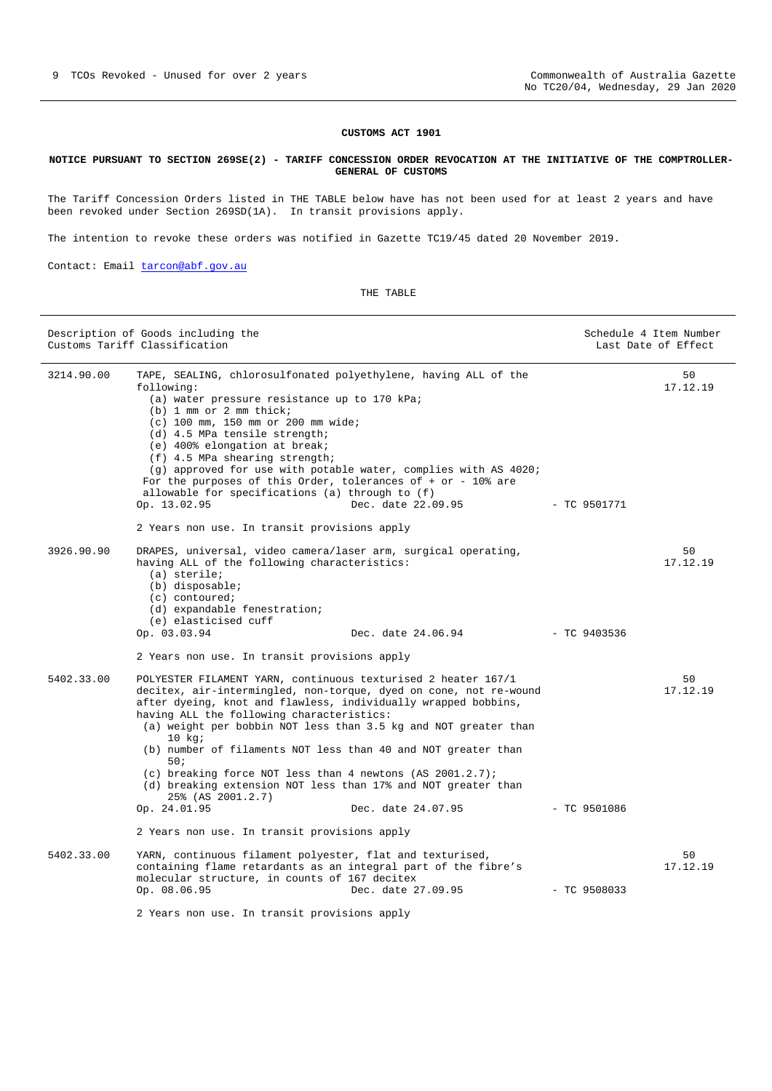#### **CUSTOMS ACT 1901**

#### <span id="page-8-0"></span>**NOTICE PURSUANT TO SECTION 269SE(2) - TARIFF CONCESSION ORDER REVOCATION AT THE INITIATIVE OF THE COMPTROLLER-GENERAL OF CUSTOMS**

The Tariff Concession Orders listed in THE TABLE below have has not been used for at least 2 years and have been revoked under Section 269SD(1A). In transit provisions apply.

The intention to revoke these orders was notified in Gazette TC19/45 dated 20 November 2019.

Contact: Email [tarcon@abf.gov.au](mailto:tarcon@abf.gov.au)

THE TABLE

| Description of Goods including the<br>Customs Tariff Classification |                                                                                                                                                                                                                                                                                                                                                                                                                                                                                                                                                                                                                                | Schedule 4 Item Number                                                                | Last Date of Effect |                |
|---------------------------------------------------------------------|--------------------------------------------------------------------------------------------------------------------------------------------------------------------------------------------------------------------------------------------------------------------------------------------------------------------------------------------------------------------------------------------------------------------------------------------------------------------------------------------------------------------------------------------------------------------------------------------------------------------------------|---------------------------------------------------------------------------------------|---------------------|----------------|
| 3214.90.00                                                          | TAPE, SEALING, chlorosulfonated polyethylene, having ALL of the<br>following:<br>(a) water pressure resistance up to 170 kPa;<br>$(b)$ 1 mm or 2 mm thick;<br>$(c)$ 100 mm, 150 mm or 200 mm wide;<br>(d) 4.5 MPa tensile strength;<br>(e) 400% elongation at break;<br>$(f)$ 4.5 MPa shearing strength;<br>For the purposes of this Order, tolerances of $+$ or $-$ 10% are<br>allowable for specifications (a) through to (f)<br>Op. 13.02.95<br>2 Years non use. In transit provisions apply                                                                                                                                | (g) approved for use with potable water, complies with AS 4020;<br>Dec. date 22.09.95 | $-$ TC 9501771      | 50<br>17.12.19 |
| 3926.90.90                                                          | DRAPES, universal, video camera/laser arm, surgical operating,<br>having ALL of the following characteristics:<br>(a) sterile;<br>$(b)$ disposable;<br>$(c)$ contoured;<br>(d) expandable fenestration;<br>(e) elasticised cuff<br>Op. 03.03.94<br>2 Years non use. In transit provisions apply                                                                                                                                                                                                                                                                                                                                | Dec. date 24.06.94                                                                    | $-$ TC 9403536      | 50<br>17.12.19 |
| 5402.33.00                                                          | POLYESTER FILAMENT YARN, continuous texturised 2 heater 167/1<br>decitex, air-intermingled, non-torque, dyed on cone, not re-wound<br>after dyeing, knot and flawless, individually wrapped bobbins,<br>having ALL the following characteristics:<br>(a) weight per bobbin NOT less than 3.5 kg and NOT greater than<br>$10$ kg;<br>(b) number of filaments NOT less than 40 and NOT greater than<br>50i<br>(c) breaking force NOT less than 4 newtons (AS $2001.2.7$ );<br>(d) breaking extension NOT less than 17% and NOT greater than<br>25% (AS 2001.2.7)<br>Op. 24.01.95<br>2 Years non use. In transit provisions apply | Dec. date 24.07.95                                                                    | $-$ TC 9501086      | 50<br>17.12.19 |
| 5402.33.00                                                          | YARN, continuous filament polyester, flat and texturised,<br>containing flame retardants as an integral part of the fibre's<br>molecular structure, in counts of 167 decitex<br>Op. 08.06.95                                                                                                                                                                                                                                                                                                                                                                                                                                   | Dec. date 27.09.95                                                                    | $-$ TC 9508033      | 50<br>17.12.19 |

2 Years non use. In transit provisions apply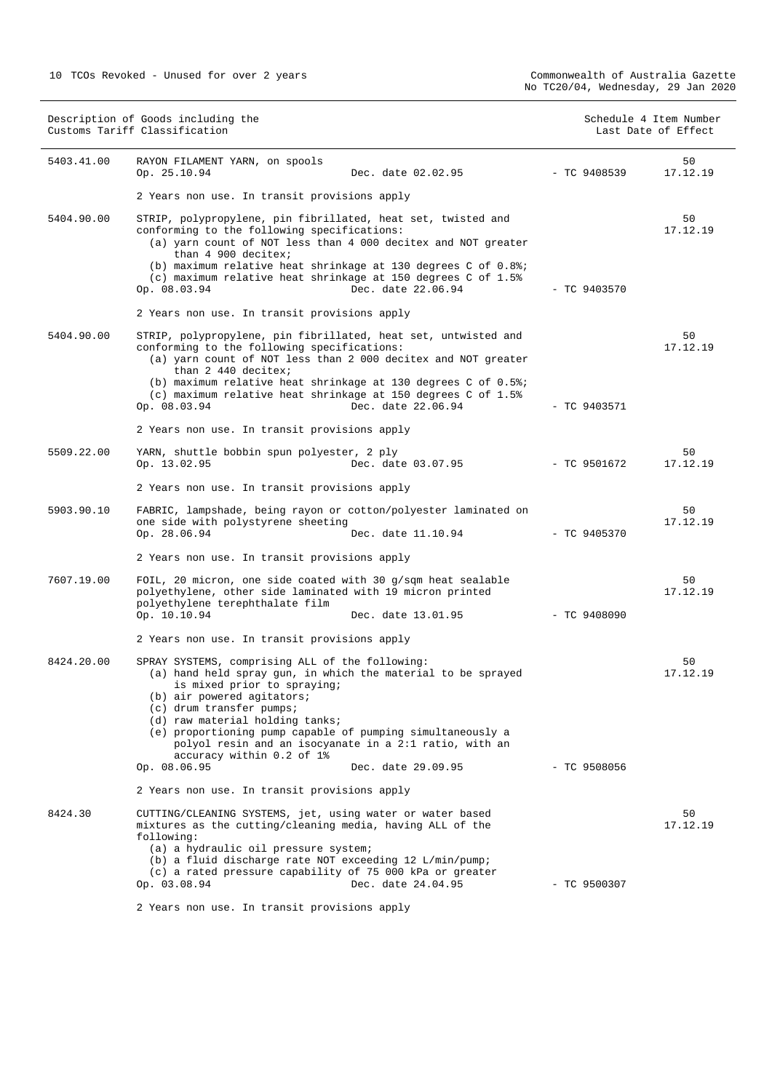| Description of Goods including the<br>Customs Tariff Classification |                                                                                                                                                                                                                                                                                                                                                                     | Schedule 4 Item Number<br>Last Date of Effect |                |
|---------------------------------------------------------------------|---------------------------------------------------------------------------------------------------------------------------------------------------------------------------------------------------------------------------------------------------------------------------------------------------------------------------------------------------------------------|-----------------------------------------------|----------------|
| 5403.41.00                                                          | RAYON FILAMENT YARN, on spools<br>Op. 25.10.94<br>Dec. date 02.02.95                                                                                                                                                                                                                                                                                                | $-$ TC 9408539                                | 50<br>17.12.19 |
|                                                                     | 2 Years non use. In transit provisions apply                                                                                                                                                                                                                                                                                                                        |                                               |                |
| 5404.90.00                                                          | STRIP, polypropylene, pin fibrillated, heat set, twisted and<br>conforming to the following specifications:<br>(a) yarn count of NOT less than 4 000 decitex and NOT greater<br>than 4 900 decitex;<br>(b) maximum relative heat shrinkage at 130 degrees C of $0.88i$<br>(c) maximum relative heat shrinkage at 150 degrees C of 1.5%                              |                                               | 50<br>17.12.19 |
|                                                                     | Dec. date 22.06.94<br>Op. 08.03.94                                                                                                                                                                                                                                                                                                                                  | $-$ TC 9403570                                |                |
|                                                                     | 2 Years non use. In transit provisions apply                                                                                                                                                                                                                                                                                                                        |                                               |                |
| 5404.90.00                                                          | STRIP, polypropylene, pin fibrillated, heat set, untwisted and<br>conforming to the following specifications:<br>(a) yarn count of NOT less than 2 000 decitex and NOT greater<br>than 2 440 decitex;<br>(b) maximum relative heat shrinkage at 130 degrees C of 0.5%;<br>(c) maximum relative heat shrinkage at 150 degrees C of 1.5%<br>Dec. date 22.06.94        | $-$ TC 9403571                                | 50<br>17.12.19 |
|                                                                     | Op. 08.03.94                                                                                                                                                                                                                                                                                                                                                        |                                               |                |
|                                                                     | 2 Years non use. In transit provisions apply                                                                                                                                                                                                                                                                                                                        |                                               |                |
| 5509.22.00                                                          | YARN, shuttle bobbin spun polyester, 2 ply<br>Op. 13.02.95<br>Dec. date 03.07.95                                                                                                                                                                                                                                                                                    | $-$ TC 9501672                                | 50<br>17.12.19 |
|                                                                     | 2 Years non use. In transit provisions apply                                                                                                                                                                                                                                                                                                                        |                                               |                |
| 5903.90.10                                                          | FABRIC, lampshade, being rayon or cotton/polyester laminated on<br>one side with polystyrene sheeting<br>Op. 28.06.94<br>Dec. date 11.10.94                                                                                                                                                                                                                         | $-$ TC 9405370                                | 50<br>17.12.19 |
|                                                                     | 2 Years non use. In transit provisions apply                                                                                                                                                                                                                                                                                                                        |                                               |                |
| 7607.19.00                                                          | FOIL, 20 micron, one side coated with 30 g/sqm heat sealable<br>polyethylene, other side laminated with 19 micron printed<br>polyethylene terephthalate film<br>Op. 10.10.94<br>Dec. date 13.01.95                                                                                                                                                                  | $-$ TC 9408090                                | 50<br>17.12.19 |
|                                                                     | 2 Years non use. In transit provisions apply                                                                                                                                                                                                                                                                                                                        |                                               |                |
| 8424.20.00                                                          | SPRAY SYSTEMS, comprising ALL of the following:<br>(a) hand held spray gun, in which the material to be sprayed<br>is mixed prior to spraying;<br>(b) air powered agitators;<br>(c) drum transfer pumps;<br>(d) raw material holding tanks;<br>(e) proportioning pump capable of pumping simultaneously a<br>polyol resin and an isocyanate in a 2:1 ratio, with an |                                               | 50<br>17.12.19 |
|                                                                     | accuracy within 0.2 of 1%<br>Op. 08.06.95<br>Dec. date 29.09.95                                                                                                                                                                                                                                                                                                     | $-$ TC 9508056                                |                |
|                                                                     | 2 Years non use. In transit provisions apply                                                                                                                                                                                                                                                                                                                        |                                               |                |
| 8424.30                                                             | CUTTING/CLEANING SYSTEMS, jet, using water or water based<br>mixtures as the cutting/cleaning media, having ALL of the<br>following:<br>(a) a hydraulic oil pressure system;<br>(b) a fluid discharge rate NOT exceeding 12 L/min/pump;<br>(c) a rated pressure capability of 75 000 kPa or greater                                                                 |                                               | 50<br>17.12.19 |
|                                                                     | Op. 03.08.94<br>Dec. date 24.04.95                                                                                                                                                                                                                                                                                                                                  | $-$ TC 9500307                                |                |

2 Years non use. In transit provisions apply